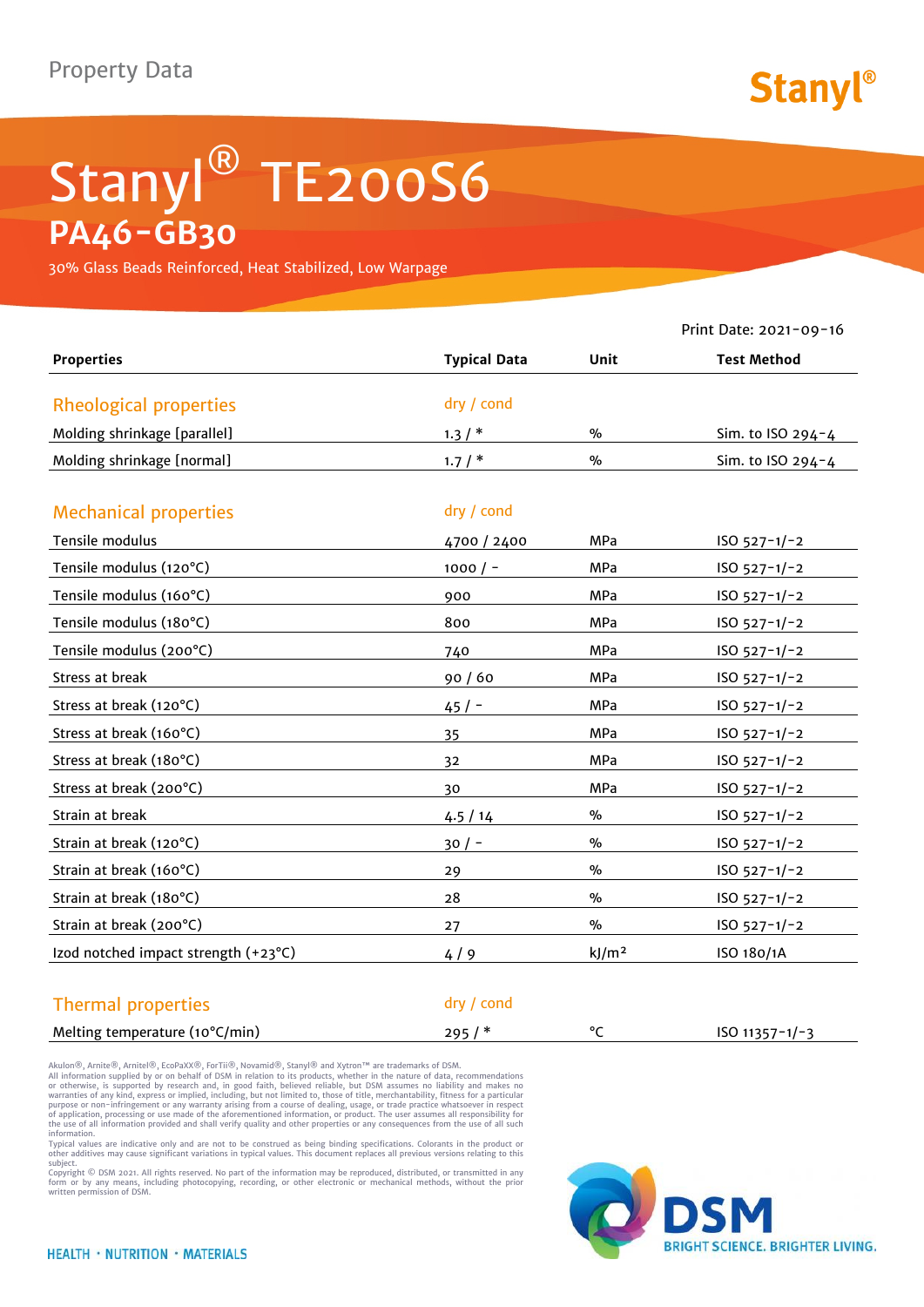

## Stanyl® TE200S6 **PA46-GB30**

30% Glass Beads Reinforced, Heat Stabilized, Low Warpage

|                                      |                     |                   | Print Date: 2021-09-16 |
|--------------------------------------|---------------------|-------------------|------------------------|
| <b>Properties</b>                    | <b>Typical Data</b> | Unit              | <b>Test Method</b>     |
| <b>Rheological properties</b>        | dry / cond          |                   |                        |
| Molding shrinkage [parallel]         | $1.3/$ *            | $\%$              | Sim. to ISO 294-4      |
| Molding shrinkage [normal]           | 1.7/                | $\%$              | Sim. to ISO 294-4      |
| <b>Mechanical properties</b>         | dry / cond          |                   |                        |
| Tensile modulus                      | 4700 / 2400         | <b>MPa</b>        | $ISO 527-1/-2$         |
| Tensile modulus (120°C)              | 1000 $/ -$          | <b>MPa</b>        | $ISO 527-1/-2$         |
| Tensile modulus (160°C)              | 900                 | <b>MPa</b>        | $ISO 527-1/-2$         |
| Tensile modulus (180°C)              | 800                 | <b>MPa</b>        | $ISO 527-1/-2$         |
| Tensile modulus (200°C)              | 740                 | MPa               | $ISO 527-1/-2$         |
| Stress at break                      | 90/60               | MPa               | $ISO 527-1/-2$         |
| Stress at break (120°C)              | $45/ -$             | MPa               | $ISO 527-1/-2$         |
| Stress at break (160°C)              | 35                  | MPa               | $ISO 527-1/-2$         |
| Stress at break (180°C)              | 32                  | MPa               | $ISO 527-1/-2$         |
| Stress at break (200°C)              | 30                  | <b>MPa</b>        | $ISO 527-1/-2$         |
| Strain at break                      | 4.5/14              | $\%$              | $ISO 527-1/-2$         |
| Strain at break (120°C)              | $30/$ –             | $\%$              | $ISO 527-1/-2$         |
| Strain at break (160°C)              | 29                  | $\%$              | $ISO 527-1/-2$         |
| Strain at break (180°C)              | 28                  | $\%$              | $ISO_527-1/-2$         |
| Strain at break (200°C)              | 27                  | $\%$              | $ISO 527-1/-2$         |
| Izod notched impact strength (+23°C) | 4/9                 | kJ/m <sup>2</sup> | ISO 180/1A             |

|  | <b>Thermal properties</b> |
|--|---------------------------|
|--|---------------------------|

dry / cond

Melting temperature (10°C/min)  $295 / *$  °C ISO 11357-1/-3

Akulon®, Amite®, Amite®®, For Amite®, EcoPaXX®, For Tii®, Novamid®, Stanyl® and Xytron™ are trademarks of DSM.<br>All information supplied by or on behalf of DSM in relation to its products, whether in the nature of data, rec

Typical values are indicative only and are not to be construed as being binding specifications. Colorants in the product or<br>other additives may cause significant variations in typical values. This document replaces all pre

form or by any means, including photocopying, recording, or other electronic or mechanical methods, without the prior written permission of DSM.